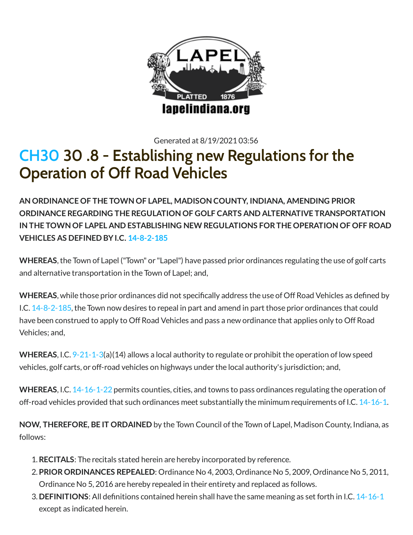

Generated at 8/19/2021 03:56

# [CH30](http://www.lapelindiana.org/ordinance.asp?chapter=30&search=) 30 .8 - Establishing new Regulations for the Operation of Off Road Vehicles

**AN ORDINANCE OF THE TOWN OF LAPEL, MADISON COUNTY, INDIANA, AMENDING PRIOR ORDINANCE REGARDING THE REGULATION OF GOLF CARTS AND ALTERNATIVE TRANSPORTATION IN THE TOWN OF LAPEL AND ESTABLISHING NEW REGULATIONS FORTHE OPERATION OF OFF ROAD VEHICLES AS DEFINED BYI.C. [14-8-2-185](http://www.lapelindiana.org/indiana_code.asp?what=14-8-2-185)**

**WHEREAS**,the Town of Lapel ("Town" or "Lapel") have passed prior ordinances regulating the use of golf carts and alternative transportation in the Town of Lapel; and,

WHEREAS, while those prior ordinances did not specifically address the use of Off Road Vehicles as defined by I.C. [14-8-2-185,](http://www.lapelindiana.org/indiana_code.asp?what=14-8-2-185) the Town now desires to repeal in part and amend in part those prior ordinances that could have been construed to apply to Off Road Vehicles and pass a new ordinance that applies only to Off Road Vehicles; and,

**WHEREAS**, I.C. [9-21-1-3](http://www.lapelindiana.org/indiana_code.asp?what=9-21-1-3)(a)(14) allows a local authority to regulate or prohibit the operation oflow speed vehicles, golf carts, or off-road vehicles on highways under the local authority's jurisdiction; and,

**WHEREAS**, I.C. [14-16-1-22](http://www.lapelindiana.org/indiana_code.asp?what=14-16-1-22) permits counties, cities, and towns to pass ordinances regulating the operation of off-road vehicles provided that such ordinances meet substantially the minimum requirements ofI.C. [14-16-1.](http://www.lapelindiana.org/indiana_code.asp?what=14-16-1)

**NOW, THEREFORE, BE IT ORDAINED** by the Town Council ofthe Town of Lapel, Madison County, Indiana, as follows:

- 1.**RECITALS**: The recitals stated herein are hereby incorporated by reference.
- 2. **PRIORORDINANCES REPEALED**: Ordinance No 4, 2003, Ordinance No 5, 2009, Ordinance No 5, 2011, Ordinance No 5, 2016 are hereby repealed in their entirety and replaced as follows.
- 3. **DEFINITIONS**: All definitions contained herein shall have the same meaning as set forth in I.C. [14-16-1](http://www.lapelindiana.org/indiana_code.asp?what=14-16-1) except as indicated herein.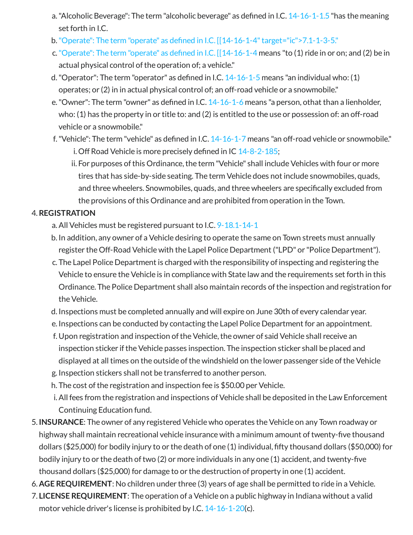- a. "Alcoholic Beverage": The term "alcoholic beverage" as defined in I.C.  $14-16-1-1.5$  "has the meaning set forth in I.C.
- $b.$  "Operate": The term "operate" as defined in I.C.  $[[14-16-1-4"$  target="ic">7.1-1-3-5."
- c. "Operate": The term "operate" as defined in I.C.  $[14-16-1-4$  means "to (1) ride in or on; and (2) be in actual physical control of the operation of; a vehicle."
- d. "Operator": The term "operator" as defined in I.C.  $14-16-1-5$  means "an individual who: (1) operates; or (2) in in actual physical control of; an off-road vehicle or a snowmobile."
- e. "Owner": The term "owner" as defined in I.C.  $14-16-1-6$  means "a person, othat than a lienholder, who: (1) has the property in or title to: and (2) is entitled to the use or possession of: an off-road vehicle or a snowmobile."
- f. "Vehicle": The term "vehicle" as defined in I.C.  $14$ -16-1-7 means "an off-road vehicle or snowmobile." i. Off Road Vehicle is more precisely defined in IC  $14-8-2-185$ ;
	- ii. For purposes of this Ordinance, the term "Vehicle" shall include Vehicles with four or more tires that has side-by-side seating. The term Vehicle does not include snowmobiles, quads, and three wheelers. Snowmobiles, quads, and three wheelers are specifically excluded from the provisions ofthis Ordinance and are prohibited from operation in the Town.

## 4.**REGISTRATION**

- a.All Vehicles must be registered pursuant to I.C. [9-18.1-14-1](http://www.lapelindiana.org/indiana_code.asp?what=9-18.1-14-1)
- b. In addition, any owner of a Vehicle desiring to operate the same on Town streets must annually register the Off-Road Vehicle with the Lapel Police Department ("LPD" or "Police Department").
- c. The Lapel Police Department is charged with the responsibility ofinspecting and registering the Vehicle to ensure the Vehicle is in compliance with State law and the requirements set forth in this Ordinance. The Police Department shall also maintain records ofthe inspection and registration for the Vehicle.
- d. Inspections must be completed annually and will expire on June 30th of every calendar year.
- e. Inspections can be conducted by contacting the Lapel Police Department for an appointment.
- f. Upon registration and inspection oftheVehicle,the owner of said Vehicle shall receive an inspection sticker if the Vehicle passes inspection. The inspection sticker shall be placed and displayed at all times on the outside of the windshield on the lower passenger side of the Vehicle
- g. Inspection stickers shall not be transferred to another person.
- h. The cost of the registration and inspection fee is \$50.00 per Vehicle.
- i. All fees from the registration and inspections of Vehicle shall be deposited in the Law Enforcement Continuing Education fund.
- 5. **INSURANCE**: The owner of any registered Vehicle who operates theVehicle on any Town roadway or highway shall maintain recreational vehicle insurance with a minimum amount of twenty-five thousand dollars (\$25,000) for bodily injury to or the death of one (1) individual, fty thousand dollars (\$50,000) for bodily injury to or the death of two  $(2)$  or more individuals in any one  $(1)$  accident, and twenty-five thousand dollars (\$25,000) for damage to or the destruction of property in one (1) accident.
- 6. **AGE REQUIREMENT**: No children under three (3) years of age shall be permitted to ride in a Vehicle.
- 7. **LICENSE REQUIREMENT**: The operation of a Vehicle on a public highway in Indiana without a valid motor vehicle driver's license is prohibited by I.C.  $14-16-1-20(c)$  $14-16-1-20(c)$ .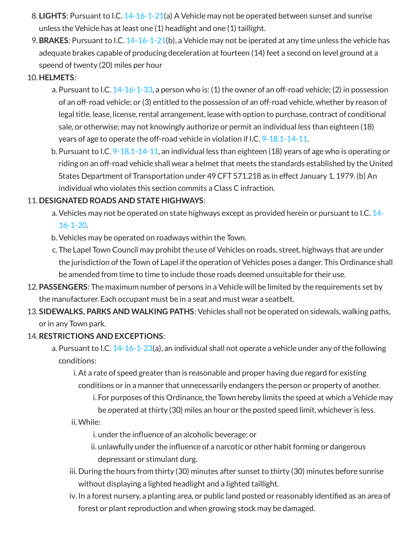- 8. **LIGHTS**: Pursuant to I.C. [14-16-1-21\(](http://www.lapelindiana.org/indiana_code.asp?what=14-16-1-21)a) A Vehicle may not be operated between sunset and sunrise unless the Vehicle has at least one (1) headlight and one (1) taillight.
- 9. **BRAKES**: Pursuant to I.C. [14-16-1-21\(](http://www.lapelindiana.org/indiana_code.asp?what=14-16-1-21)b), a Vehicle may not be iperated at any time unless the vehicle has adequate brakes capable of producing deceleration at fourteen (14) feet a second on level ground at a speend of twenty (20) miles per hour

#### 10. **HELMETS**:

- a. Pursuant to I.C. [14-16-1-33](http://www.lapelindiana.org/indiana_code.asp?what=14-16-1-33), a person who is: (1) the owner of an off-road vehicle; (2) in possession of an off-road vehicle; or (3) entitled to the possession of an off-road vehicle, whether by reason of legal title, lease, license, rental arrangement, lease with option to purchase, contract of conditional sale, or otherwise; may not knowingly authorize or permit an individual less than eighteen (18) years of age to operate the off-road vehicle in violation if I.C. [9-18.1-14-11.](http://www.lapelindiana.org/indiana_code.asp?what=9-18.1-14-11)
- b. Pursuant to I.C. [9-18.1-14-11,](http://www.lapelindiana.org/indiana_code.asp?what=9-18.1-14-11) an individual less than eighteen (18) years of age who is operating or riding on an off-road vehicle shall wear a helmet that meets the standards established by the United States Department of Transportation under 49CFT 571.218 as in effect January 1, 1979. (b) An individual who violates this section commits a Class C infraction.

### 11. **DESIGNATED ROADS AND STATE HIGHWAYS**:

- a.Vehicles may not be operated on state [highways](http://www.lapelindiana.org/indiana_code.asp?what=14-16-1-20) except as provided herein or pursuant to I.C. 14- 16-1-20.
- b.Vehicles may be operated on roadways within the Town.
- c. The Lapel Town Council may prohibt the use of Vehicles on roads, street, highways that are under the jurisdiction of the Town of Lapel if the operation of Vehicles poses a danger. This Ordinance shall be amended from time to time to include those roads deemed unsuitable for their use.
- 12. **PASSENGERS**: The maximum number of persons in a Vehicle will be limited by the requirements set by the manufacturer. Each occupant must be in a seat and must wear a seatbelt.
- 13. **SIDEWALKS, PARKS AND WALKING PATHS**: Vehicles shall not be operated on sidewals, walking paths, or in any Town park.

### 14.**RESTRICTIONS AND EXCEPTIONS**:

- a. Pursuant to I.C.  $14-16-1-23(a)$  $14-16-1-23(a)$ , an individual shall not operate a vehicle under any of the following conditions:
	- i.At a rate of speed greater than is reasonable and proper having due regard for existing conditions or in a manner that unnecessarily endangers the person or property of another.
		- i. For purposes of this Ordinance, the Town hereby limits the speed at which a Vehicle may be operated at thirty (30) miles an hour or the posted speed limit, whichever is less.

ii.While:

i. under the influence of an alcoholic beverage; or

ii. unlawfully under the influence of a narcotic or other habit forming or dangerous depressant or stimulant durg.

- iii. During the hours from thirty (30) minutes after sunset to thirty (30) minutes before sunrise without displaying a lighted headlight and a lighted taillight.
- iv. In a forest nursery, a planting area, or public land posted or reasonably identified as an area of forest or plant reproduction and when growing stock may be damaged.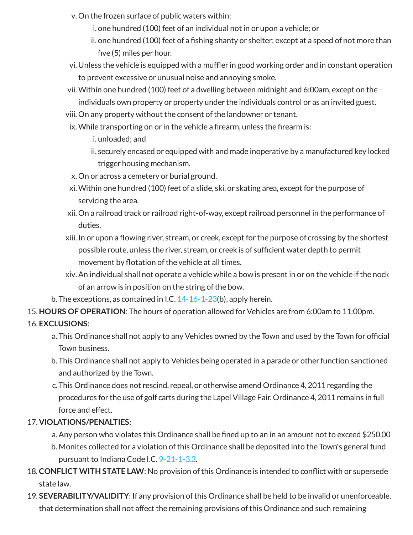- v. On the frozen surface of public waters within:
	- i. one hundred (100) feet of an individual not in or upon a vehicle; or
	- ii. one hundred (100) feet of a fishing shanty or shelter; except at a speed of not more than five  $(5)$  miles per hour.
- vi. Unless the vehicle is equipped with a muffler in good working order and in constant operation to prevent excessive or unusual noise and annoying smoke.
- vii.Within one hundred (100) feet of a dwelling between midnight and 6:00am, except on the individuals own property or property under the individuals control or as an invited guest.
- viii. On any property without the consent of the landowner or tenant.
	- ix. While transporting on or in the vehicle a firearm, unless the firearm is:
		- i. unloaded; and

ii. securely encased or equipped with and made inoperative by a manufactured key locked trigger housing mechanism.

- x. On or across a cemetery or burial ground.
- xi.Within one hundred (100) feet of a slide, ski, or skating area, except for the purpose of servicing the area.
- xii. On a railroad track or railroad right-of-way, except railroad personnel in the performance of duties.
- xiii. In or upon a flowing river, stream, or creek, except for the purpose of crossing by the shortest possible route, unless the river, stream, or creek is of sufficient water depth to permit movement by flotation of the vehicle at all times.
- xiv.An individual shall not operate a vehicle while a bow is present in or on the vehicle ifthe nock of an arrow is in position on the string of the bow.
- b. The exceptions, as contained in I.C. [14-16-1-23\(](http://www.lapelindiana.org/indiana_code.asp?what=14-16-1-23)b), apply herein.
- 15. HOURS OF OPERATION: The hours of operation allowed for Vehicles are from 6:00am to 11:00pm.

## 16. **EXCLUSIONS**:

- a. This Ordinance shall not apply to any Vehicles owned by the Town and used by the Town for official Town business.
- b. This Ordinance shall not apply to Vehicles being operated in a parade or other function sanctioned and authorized by the Town.
- c. This Ordinance does not rescind, repeal, or otherwise amend Ordinance 4, 2011 regarding the procedures for the use of golf carts during the Lapel Village Fair. Ordinance 4, 2011 remains in full force and effect.

### 17. **VIOLATIONS/PENALTIES**:

- a. Any person who violates this Ordinance shall be fined up to an in an amount not to exceed \$250.00
- b. Monites collected for a violation ofthis Ordinance shall be deposited into the Town's general fund pursuant to Indiana Code I.C. [9-21-1-3.3](http://www.lapelindiana.org/indiana_code.asp?what=9-21-1-3.3).
- 18. CONFLICT WITH STATE LAW: No provision of this Ordinance is intended to conflict with or supersede state law.
- 19. **SEVERABILITY/VALIDITY**: If any provision ofthis Ordinance shall be held to be invalid or unenforceable, that determination shall not affect the remaining provisions ofthis Ordinance and such remaining